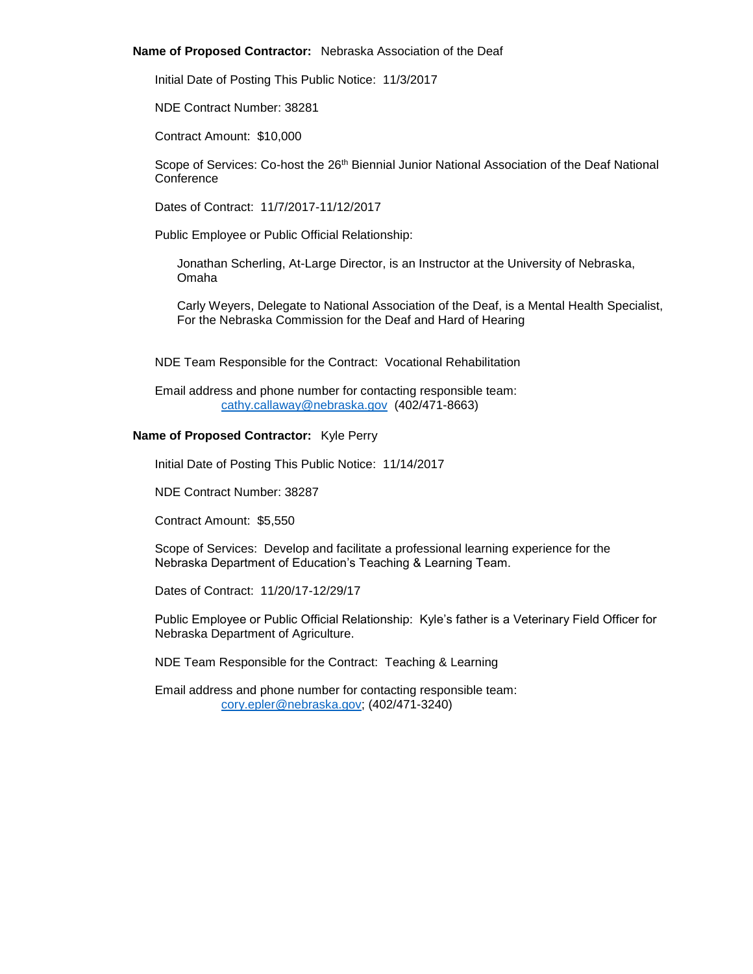### **Name of Proposed Contractor:** Nebraska Association of the Deaf

Initial Date of Posting This Public Notice: 11/3/2017

NDE Contract Number: 38281

Contract Amount: \$10,000

Scope of Services: Co-host the 26<sup>th</sup> Biennial Junior National Association of the Deaf National **Conference** 

Dates of Contract: 11/7/2017-11/12/2017

Public Employee or Public Official Relationship:

Jonathan Scherling, At-Large Director, is an Instructor at the University of Nebraska, Omaha

Carly Weyers, Delegate to National Association of the Deaf, is a Mental Health Specialist, For the Nebraska Commission for the Deaf and Hard of Hearing

NDE Team Responsible for the Contract: Vocational Rehabilitation

Email address and phone number for contacting responsible team: [cathy.callaway@nebraska.gov](mailto:cathy.callaway@nebraska.gov) (402/471-8663)

# **Name of Proposed Contractor:** Kyle Perry

Initial Date of Posting This Public Notice: 11/14/2017

NDE Contract Number: 38287

Contract Amount: \$5,550

Scope of Services: Develop and facilitate a professional learning experience for the Nebraska Department of Education's Teaching & Learning Team.

Dates of Contract: 11/20/17-12/29/17

Public Employee or Public Official Relationship: Kyle's father is a Veterinary Field Officer for Nebraska Department of Agriculture.

NDE Team Responsible for the Contract: Teaching & Learning

Email address and phone number for contacting responsible team: [cory.epler@nebraska.gov;](mailto:cory.epler@nebraska.gov) (402/471-3240)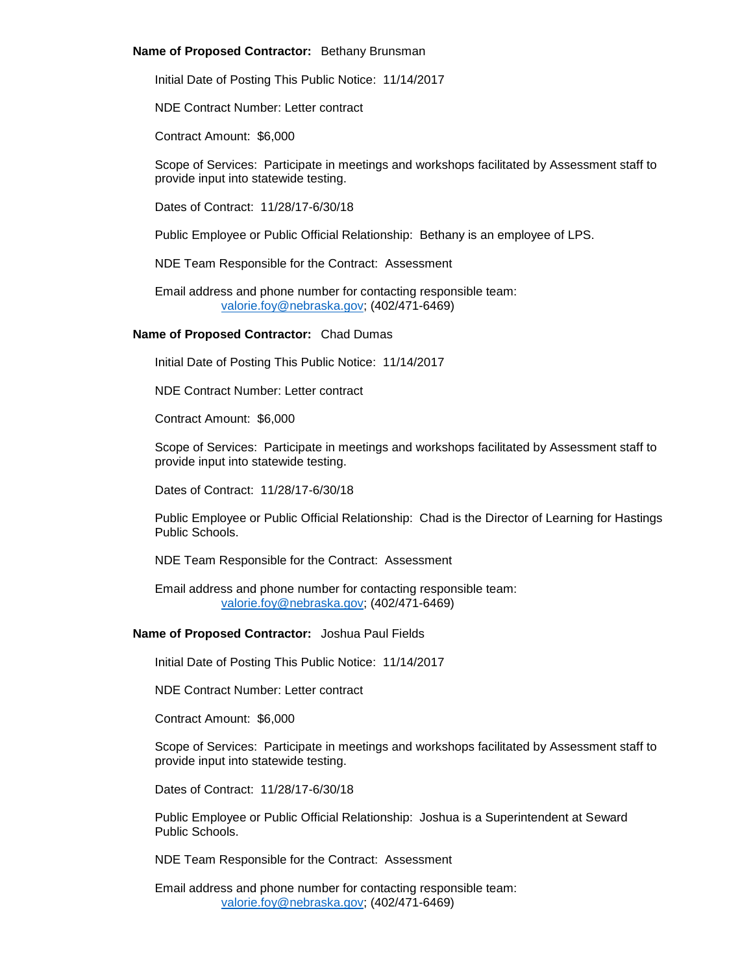## **Name of Proposed Contractor:** Bethany Brunsman

Initial Date of Posting This Public Notice: 11/14/2017

NDE Contract Number: Letter contract

Contract Amount: \$6,000

Scope of Services: Participate in meetings and workshops facilitated by Assessment staff to provide input into statewide testing.

Dates of Contract: 11/28/17-6/30/18

Public Employee or Public Official Relationship: Bethany is an employee of LPS.

NDE Team Responsible for the Contract: Assessment

Email address and phone number for contacting responsible team: [valorie.foy@nebraska.gov;](mailto:valorie.foy@nebraska.gov) (402/471-6469)

# **Name of Proposed Contractor:** Chad Dumas

Initial Date of Posting This Public Notice: 11/14/2017

NDE Contract Number: Letter contract

Contract Amount: \$6,000

Scope of Services: Participate in meetings and workshops facilitated by Assessment staff to provide input into statewide testing.

Dates of Contract: 11/28/17-6/30/18

Public Employee or Public Official Relationship: Chad is the Director of Learning for Hastings Public Schools.

NDE Team Responsible for the Contract: Assessment

Email address and phone number for contacting responsible team: [valorie.foy@nebraska.gov;](mailto:valorie.foy@nebraska.gov) (402/471-6469)

# **Name of Proposed Contractor:** Joshua Paul Fields

Initial Date of Posting This Public Notice: 11/14/2017

NDE Contract Number: Letter contract

Contract Amount: \$6,000

Scope of Services: Participate in meetings and workshops facilitated by Assessment staff to provide input into statewide testing.

Dates of Contract: 11/28/17-6/30/18

Public Employee or Public Official Relationship: Joshua is a Superintendent at Seward Public Schools.

NDE Team Responsible for the Contract: Assessment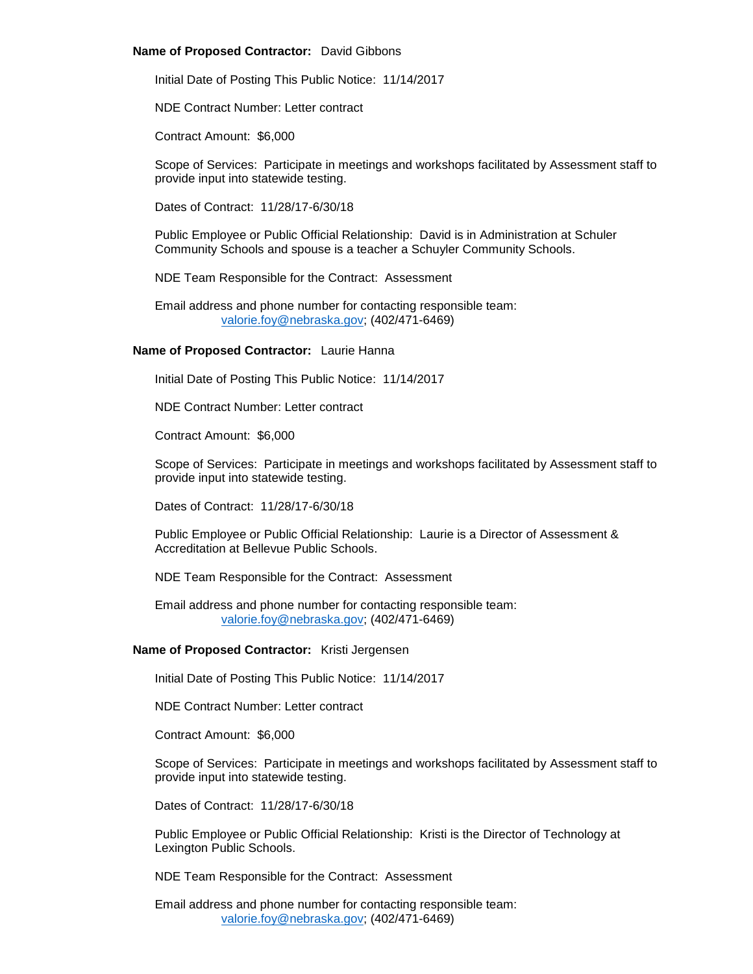## **Name of Proposed Contractor:** David Gibbons

Initial Date of Posting This Public Notice: 11/14/2017

NDE Contract Number: Letter contract

Contract Amount: \$6,000

Scope of Services: Participate in meetings and workshops facilitated by Assessment staff to provide input into statewide testing.

Dates of Contract: 11/28/17-6/30/18

Public Employee or Public Official Relationship: David is in Administration at Schuler Community Schools and spouse is a teacher a Schuyler Community Schools.

NDE Team Responsible for the Contract: Assessment

Email address and phone number for contacting responsible team: [valorie.foy@nebraska.gov;](mailto:valorie.foy@nebraska.gov) (402/471-6469)

# **Name of Proposed Contractor:** Laurie Hanna

Initial Date of Posting This Public Notice: 11/14/2017

NDE Contract Number: Letter contract

Contract Amount: \$6,000

Scope of Services: Participate in meetings and workshops facilitated by Assessment staff to provide input into statewide testing.

Dates of Contract: 11/28/17-6/30/18

Public Employee or Public Official Relationship: Laurie is a Director of Assessment & Accreditation at Bellevue Public Schools.

NDE Team Responsible for the Contract: Assessment

Email address and phone number for contacting responsible team: [valorie.foy@nebraska.gov;](mailto:valorie.foy@nebraska.gov) (402/471-6469)

## **Name of Proposed Contractor:** Kristi Jergensen

Initial Date of Posting This Public Notice: 11/14/2017

NDE Contract Number: Letter contract

Contract Amount: \$6,000

Scope of Services: Participate in meetings and workshops facilitated by Assessment staff to provide input into statewide testing.

Dates of Contract: 11/28/17-6/30/18

Public Employee or Public Official Relationship: Kristi is the Director of Technology at Lexington Public Schools.

NDE Team Responsible for the Contract: Assessment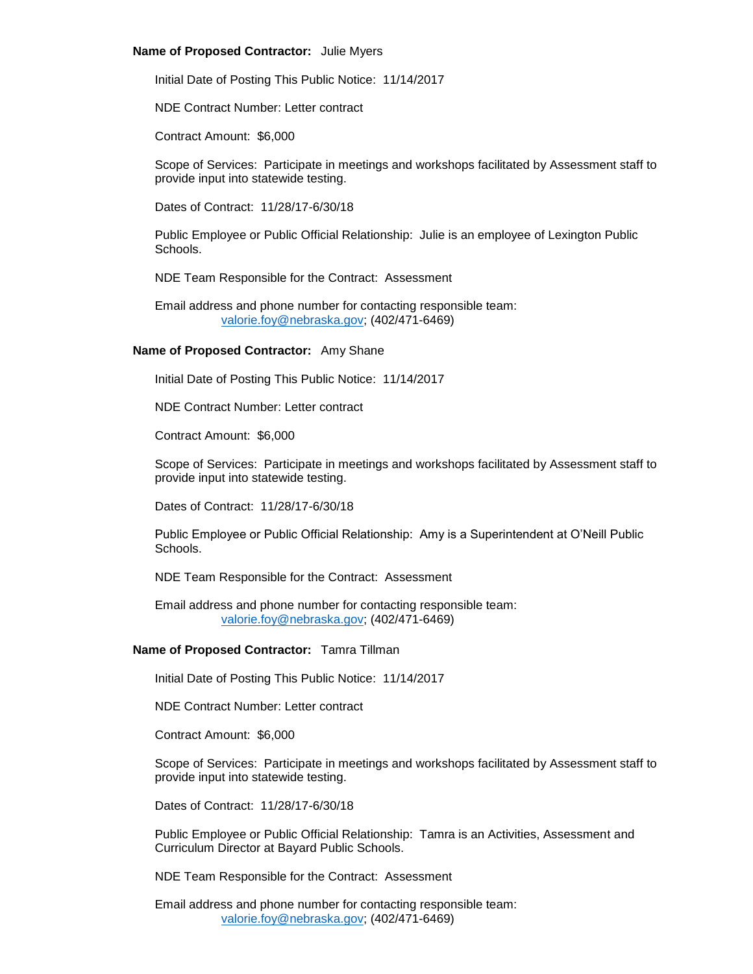#### **Name of Proposed Contractor:** Julie Myers

Initial Date of Posting This Public Notice: 11/14/2017

NDE Contract Number: Letter contract

Contract Amount: \$6,000

Scope of Services: Participate in meetings and workshops facilitated by Assessment staff to provide input into statewide testing.

Dates of Contract: 11/28/17-6/30/18

Public Employee or Public Official Relationship: Julie is an employee of Lexington Public Schools.

NDE Team Responsible for the Contract: Assessment

Email address and phone number for contacting responsible team: [valorie.foy@nebraska.gov;](mailto:valorie.foy@nebraska.gov) (402/471-6469)

# **Name of Proposed Contractor:** Amy Shane

Initial Date of Posting This Public Notice: 11/14/2017

NDE Contract Number: Letter contract

Contract Amount: \$6,000

Scope of Services: Participate in meetings and workshops facilitated by Assessment staff to provide input into statewide testing.

Dates of Contract: 11/28/17-6/30/18

Public Employee or Public Official Relationship: Amy is a Superintendent at O'Neill Public Schools.

NDE Team Responsible for the Contract: Assessment

Email address and phone number for contacting responsible team: [valorie.foy@nebraska.gov;](mailto:valorie.foy@nebraska.gov) (402/471-6469)

## **Name of Proposed Contractor:** Tamra Tillman

Initial Date of Posting This Public Notice: 11/14/2017

NDE Contract Number: Letter contract

Contract Amount: \$6,000

Scope of Services: Participate in meetings and workshops facilitated by Assessment staff to provide input into statewide testing.

Dates of Contract: 11/28/17-6/30/18

Public Employee or Public Official Relationship: Tamra is an Activities, Assessment and Curriculum Director at Bayard Public Schools.

NDE Team Responsible for the Contract: Assessment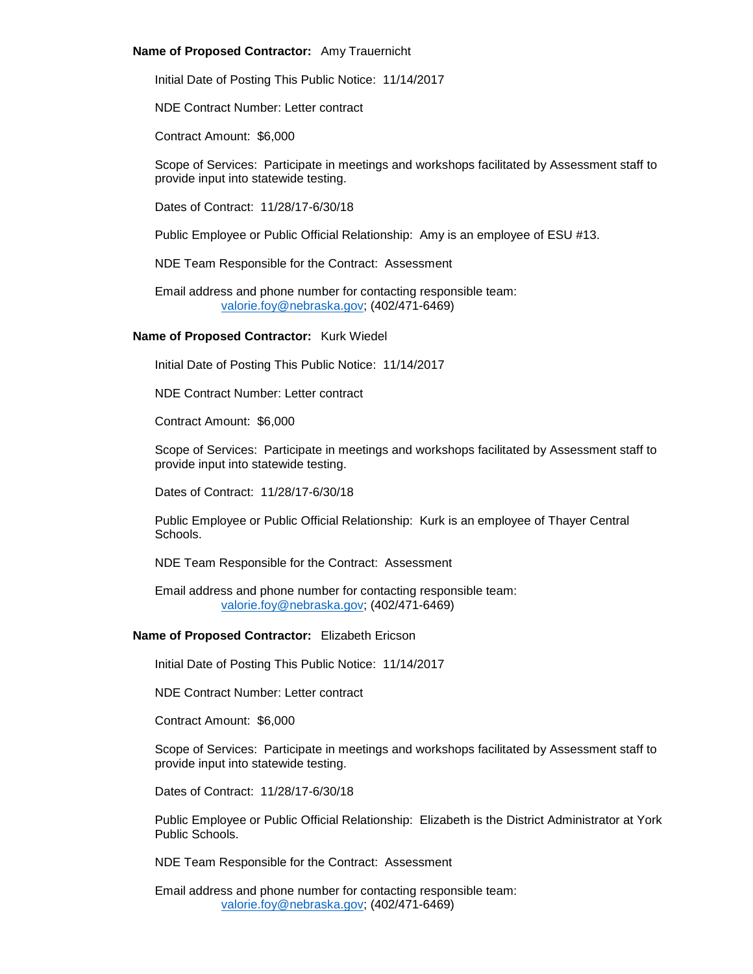## **Name of Proposed Contractor:** Amy Trauernicht

Initial Date of Posting This Public Notice: 11/14/2017

NDE Contract Number: Letter contract

Contract Amount: \$6,000

Scope of Services: Participate in meetings and workshops facilitated by Assessment staff to provide input into statewide testing.

Dates of Contract: 11/28/17-6/30/18

Public Employee or Public Official Relationship: Amy is an employee of ESU #13.

NDE Team Responsible for the Contract: Assessment

Email address and phone number for contacting responsible team: [valorie.foy@nebraska.gov;](mailto:valorie.foy@nebraska.gov) (402/471-6469)

# **Name of Proposed Contractor:** Kurk Wiedel

Initial Date of Posting This Public Notice: 11/14/2017

NDE Contract Number: Letter contract

Contract Amount: \$6,000

Scope of Services: Participate in meetings and workshops facilitated by Assessment staff to provide input into statewide testing.

Dates of Contract: 11/28/17-6/30/18

Public Employee or Public Official Relationship: Kurk is an employee of Thayer Central Schools.

NDE Team Responsible for the Contract: Assessment

Email address and phone number for contacting responsible team: [valorie.foy@nebraska.gov;](mailto:valorie.foy@nebraska.gov) (402/471-6469)

# **Name of Proposed Contractor:** Elizabeth Ericson

Initial Date of Posting This Public Notice: 11/14/2017

NDE Contract Number: Letter contract

Contract Amount: \$6,000

Scope of Services: Participate in meetings and workshops facilitated by Assessment staff to provide input into statewide testing.

Dates of Contract: 11/28/17-6/30/18

Public Employee or Public Official Relationship: Elizabeth is the District Administrator at York Public Schools.

NDE Team Responsible for the Contract: Assessment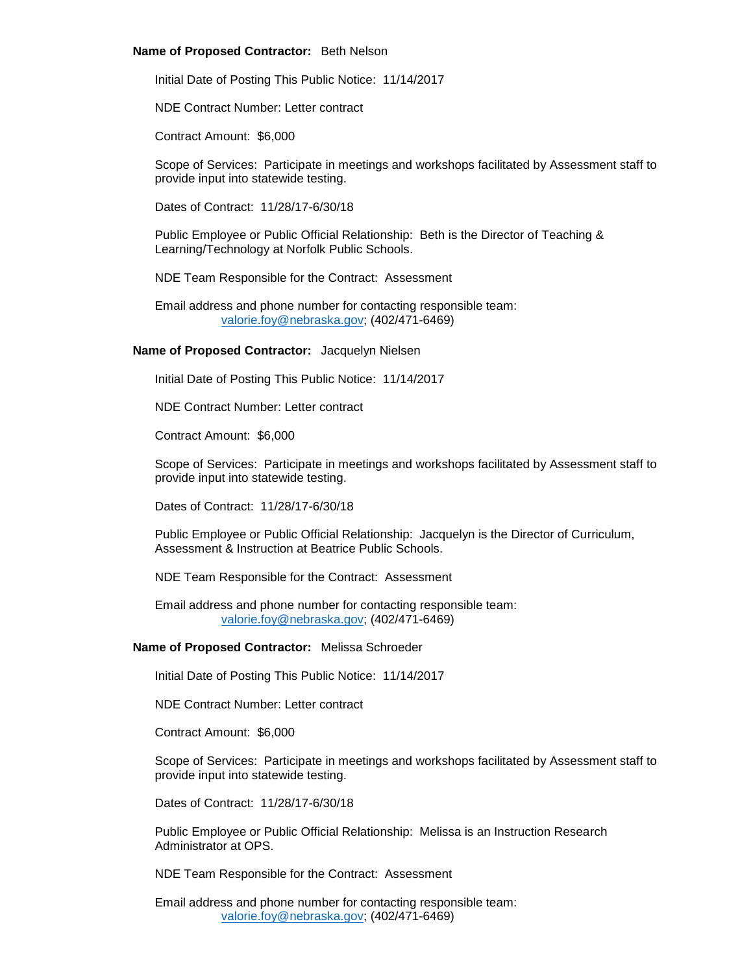#### **Name of Proposed Contractor:** Beth Nelson

Initial Date of Posting This Public Notice: 11/14/2017

NDE Contract Number: Letter contract

Contract Amount: \$6,000

Scope of Services: Participate in meetings and workshops facilitated by Assessment staff to provide input into statewide testing.

Dates of Contract: 11/28/17-6/30/18

Public Employee or Public Official Relationship: Beth is the Director of Teaching & Learning/Technology at Norfolk Public Schools.

NDE Team Responsible for the Contract: Assessment

Email address and phone number for contacting responsible team: [valorie.foy@nebraska.gov;](mailto:valorie.foy@nebraska.gov) (402/471-6469)

# **Name of Proposed Contractor:** Jacquelyn Nielsen

Initial Date of Posting This Public Notice: 11/14/2017

NDE Contract Number: Letter contract

Contract Amount: \$6,000

Scope of Services: Participate in meetings and workshops facilitated by Assessment staff to provide input into statewide testing.

Dates of Contract: 11/28/17-6/30/18

Public Employee or Public Official Relationship: Jacquelyn is the Director of Curriculum, Assessment & Instruction at Beatrice Public Schools.

NDE Team Responsible for the Contract: Assessment

Email address and phone number for contacting responsible team: [valorie.foy@nebraska.gov;](mailto:valorie.foy@nebraska.gov) (402/471-6469)

### **Name of Proposed Contractor:** Melissa Schroeder

Initial Date of Posting This Public Notice: 11/14/2017

NDE Contract Number: Letter contract

Contract Amount: \$6,000

Scope of Services: Participate in meetings and workshops facilitated by Assessment staff to provide input into statewide testing.

Dates of Contract: 11/28/17-6/30/18

Public Employee or Public Official Relationship: Melissa is an Instruction Research Administrator at OPS.

NDE Team Responsible for the Contract: Assessment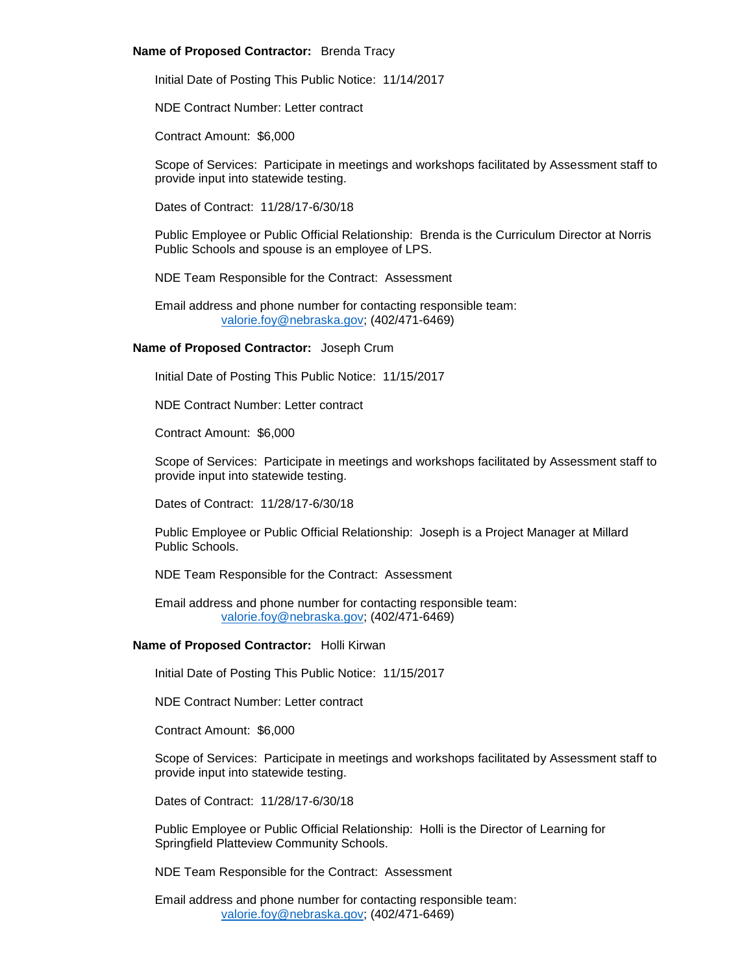## **Name of Proposed Contractor:** Brenda Tracy

Initial Date of Posting This Public Notice: 11/14/2017

NDE Contract Number: Letter contract

Contract Amount: \$6,000

Scope of Services: Participate in meetings and workshops facilitated by Assessment staff to provide input into statewide testing.

Dates of Contract: 11/28/17-6/30/18

Public Employee or Public Official Relationship: Brenda is the Curriculum Director at Norris Public Schools and spouse is an employee of LPS.

NDE Team Responsible for the Contract: Assessment

Email address and phone number for contacting responsible team: [valorie.foy@nebraska.gov;](mailto:valorie.foy@nebraska.gov) (402/471-6469)

# **Name of Proposed Contractor:** Joseph Crum

Initial Date of Posting This Public Notice: 11/15/2017

NDE Contract Number: Letter contract

Contract Amount: \$6,000

Scope of Services: Participate in meetings and workshops facilitated by Assessment staff to provide input into statewide testing.

Dates of Contract: 11/28/17-6/30/18

Public Employee or Public Official Relationship: Joseph is a Project Manager at Millard Public Schools.

NDE Team Responsible for the Contract: Assessment

Email address and phone number for contacting responsible team: [valorie.foy@nebraska.gov;](mailto:valorie.foy@nebraska.gov) (402/471-6469)

#### **Name of Proposed Contractor:** Holli Kirwan

Initial Date of Posting This Public Notice: 11/15/2017

NDE Contract Number: Letter contract

Contract Amount: \$6,000

Scope of Services: Participate in meetings and workshops facilitated by Assessment staff to provide input into statewide testing.

Dates of Contract: 11/28/17-6/30/18

Public Employee or Public Official Relationship: Holli is the Director of Learning for Springfield Platteview Community Schools.

NDE Team Responsible for the Contract: Assessment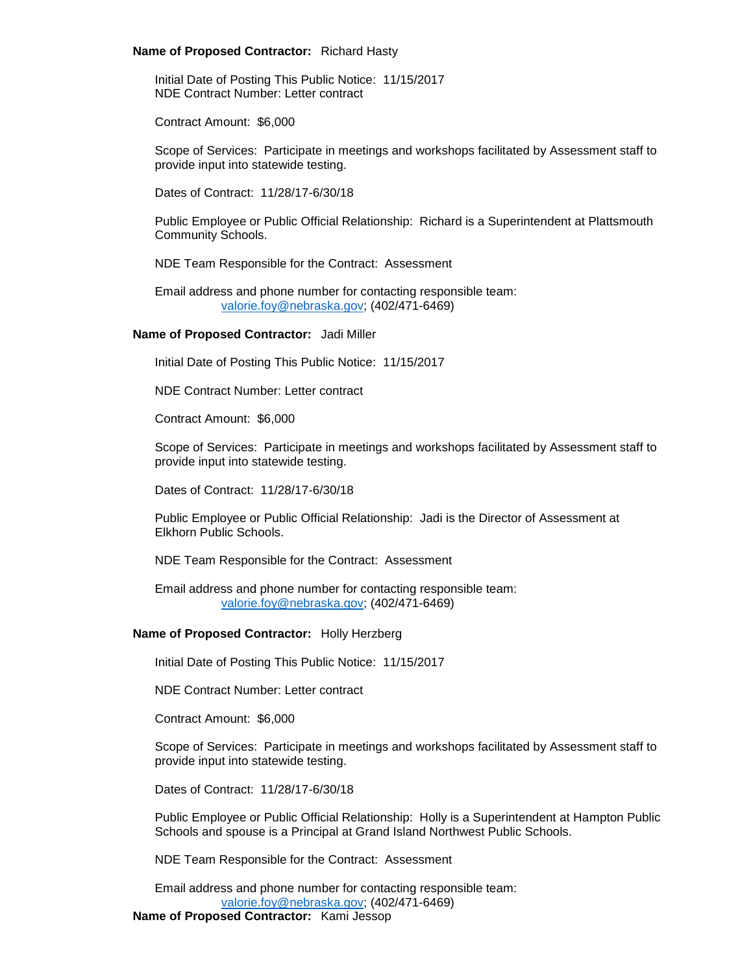#### **Name of Proposed Contractor:** Richard Hasty

Initial Date of Posting This Public Notice: 11/15/2017 NDE Contract Number: Letter contract

Contract Amount: \$6,000

Scope of Services: Participate in meetings and workshops facilitated by Assessment staff to provide input into statewide testing.

Dates of Contract: 11/28/17-6/30/18

Public Employee or Public Official Relationship: Richard is a Superintendent at Plattsmouth Community Schools.

NDE Team Responsible for the Contract: Assessment

Email address and phone number for contacting responsible team: [valorie.foy@nebraska.gov;](mailto:valorie.foy@nebraska.gov) (402/471-6469)

#### **Name of Proposed Contractor:** Jadi Miller

Initial Date of Posting This Public Notice: 11/15/2017

NDE Contract Number: Letter contract

Contract Amount: \$6,000

Scope of Services: Participate in meetings and workshops facilitated by Assessment staff to provide input into statewide testing.

Dates of Contract: 11/28/17-6/30/18

Public Employee or Public Official Relationship: Jadi is the Director of Assessment at Elkhorn Public Schools.

NDE Team Responsible for the Contract: Assessment

Email address and phone number for contacting responsible team: [valorie.foy@nebraska.gov;](mailto:valorie.foy@nebraska.gov) (402/471-6469)

#### **Name of Proposed Contractor:** Holly Herzberg

Initial Date of Posting This Public Notice: 11/15/2017

NDE Contract Number: Letter contract

Contract Amount: \$6,000

Scope of Services: Participate in meetings and workshops facilitated by Assessment staff to provide input into statewide testing.

Dates of Contract: 11/28/17-6/30/18

Public Employee or Public Official Relationship: Holly is a Superintendent at Hampton Public Schools and spouse is a Principal at Grand Island Northwest Public Schools.

NDE Team Responsible for the Contract: Assessment

Email address and phone number for contacting responsible team: [valorie.foy@nebraska.gov;](mailto:valorie.foy@nebraska.gov) (402/471-6469) **Name of Proposed Contractor:** Kami Jessop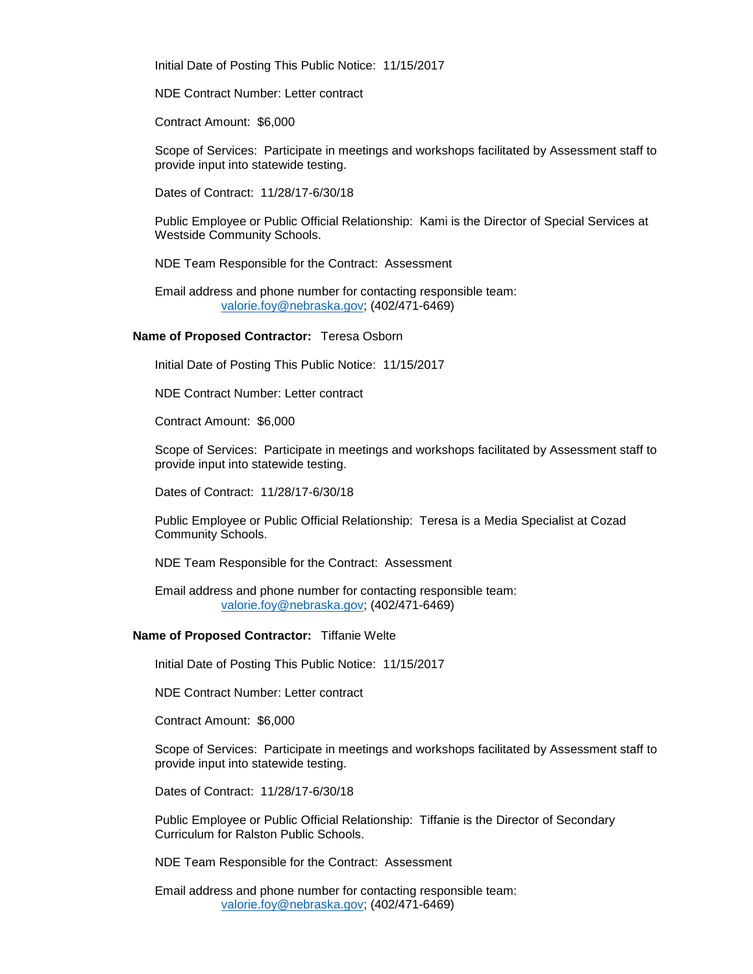Initial Date of Posting This Public Notice: 11/15/2017

NDE Contract Number: Letter contract

Contract Amount: \$6,000

Scope of Services: Participate in meetings and workshops facilitated by Assessment staff to provide input into statewide testing.

Dates of Contract: 11/28/17-6/30/18

Public Employee or Public Official Relationship: Kami is the Director of Special Services at Westside Community Schools.

NDE Team Responsible for the Contract: Assessment

Email address and phone number for contacting responsible team: [valorie.foy@nebraska.gov;](mailto:valorie.foy@nebraska.gov) (402/471-6469)

#### **Name of Proposed Contractor:** Teresa Osborn

Initial Date of Posting This Public Notice: 11/15/2017

NDE Contract Number: Letter contract

Contract Amount: \$6,000

Scope of Services: Participate in meetings and workshops facilitated by Assessment staff to provide input into statewide testing.

Dates of Contract: 11/28/17-6/30/18

Public Employee or Public Official Relationship: Teresa is a Media Specialist at Cozad Community Schools.

NDE Team Responsible for the Contract: Assessment

Email address and phone number for contacting responsible team: [valorie.foy@nebraska.gov;](mailto:valorie.foy@nebraska.gov) (402/471-6469)

## **Name of Proposed Contractor:** Tiffanie Welte

Initial Date of Posting This Public Notice: 11/15/2017

NDE Contract Number: Letter contract

Contract Amount: \$6,000

Scope of Services: Participate in meetings and workshops facilitated by Assessment staff to provide input into statewide testing.

Dates of Contract: 11/28/17-6/30/18

Public Employee or Public Official Relationship: Tiffanie is the Director of Secondary Curriculum for Ralston Public Schools.

NDE Team Responsible for the Contract: Assessment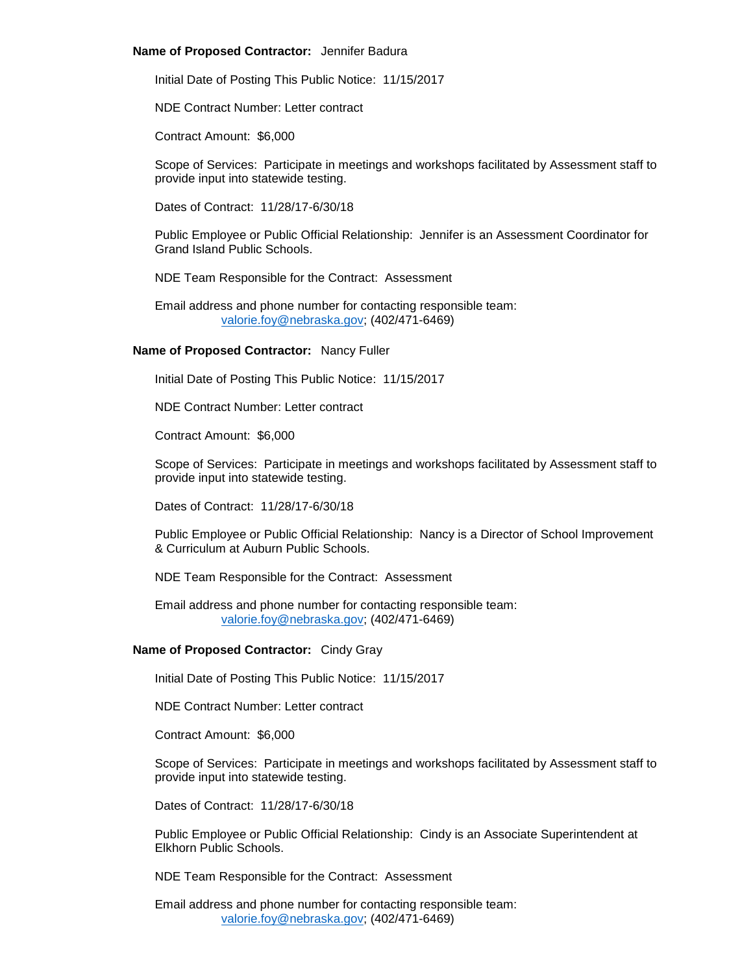### **Name of Proposed Contractor:** Jennifer Badura

Initial Date of Posting This Public Notice: 11/15/2017

NDE Contract Number: Letter contract

Contract Amount: \$6,000

Scope of Services: Participate in meetings and workshops facilitated by Assessment staff to provide input into statewide testing.

Dates of Contract: 11/28/17-6/30/18

Public Employee or Public Official Relationship: Jennifer is an Assessment Coordinator for Grand Island Public Schools.

NDE Team Responsible for the Contract: Assessment

Email address and phone number for contacting responsible team: [valorie.foy@nebraska.gov;](mailto:valorie.foy@nebraska.gov) (402/471-6469)

# **Name of Proposed Contractor:** Nancy Fuller

Initial Date of Posting This Public Notice: 11/15/2017

NDE Contract Number: Letter contract

Contract Amount: \$6,000

Scope of Services: Participate in meetings and workshops facilitated by Assessment staff to provide input into statewide testing.

Dates of Contract: 11/28/17-6/30/18

Public Employee or Public Official Relationship: Nancy is a Director of School Improvement & Curriculum at Auburn Public Schools.

NDE Team Responsible for the Contract: Assessment

Email address and phone number for contacting responsible team: [valorie.foy@nebraska.gov;](mailto:valorie.foy@nebraska.gov) (402/471-6469)

## **Name of Proposed Contractor:** Cindy Gray

Initial Date of Posting This Public Notice: 11/15/2017

NDE Contract Number: Letter contract

Contract Amount: \$6,000

Scope of Services: Participate in meetings and workshops facilitated by Assessment staff to provide input into statewide testing.

Dates of Contract: 11/28/17-6/30/18

Public Employee or Public Official Relationship: Cindy is an Associate Superintendent at Elkhorn Public Schools.

NDE Team Responsible for the Contract: Assessment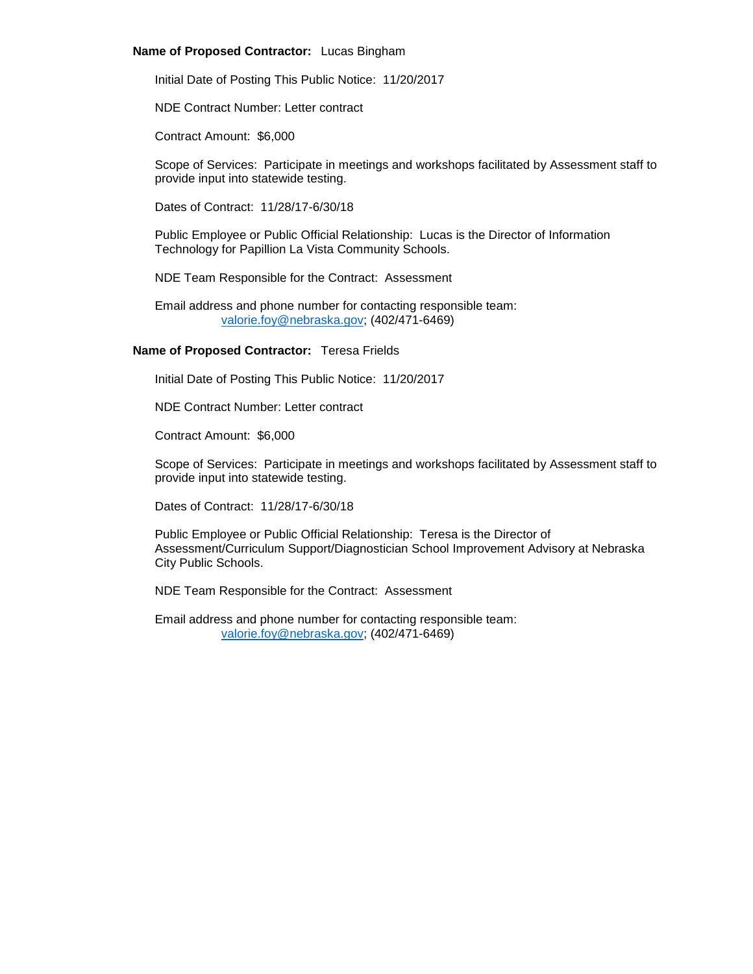# **Name of Proposed Contractor:** Lucas Bingham

Initial Date of Posting This Public Notice: 11/20/2017

NDE Contract Number: Letter contract

Contract Amount: \$6,000

Scope of Services: Participate in meetings and workshops facilitated by Assessment staff to provide input into statewide testing.

Dates of Contract: 11/28/17-6/30/18

Public Employee or Public Official Relationship: Lucas is the Director of Information Technology for Papillion La Vista Community Schools.

NDE Team Responsible for the Contract: Assessment

Email address and phone number for contacting responsible team: [valorie.foy@nebraska.gov;](mailto:valorie.foy@nebraska.gov) (402/471-6469)

# **Name of Proposed Contractor:** Teresa Frields

Initial Date of Posting This Public Notice: 11/20/2017

NDE Contract Number: Letter contract

Contract Amount: \$6,000

Scope of Services: Participate in meetings and workshops facilitated by Assessment staff to provide input into statewide testing.

Dates of Contract: 11/28/17-6/30/18

Public Employee or Public Official Relationship: Teresa is the Director of Assessment/Curriculum Support/Diagnostician School Improvement Advisory at Nebraska City Public Schools.

NDE Team Responsible for the Contract: Assessment